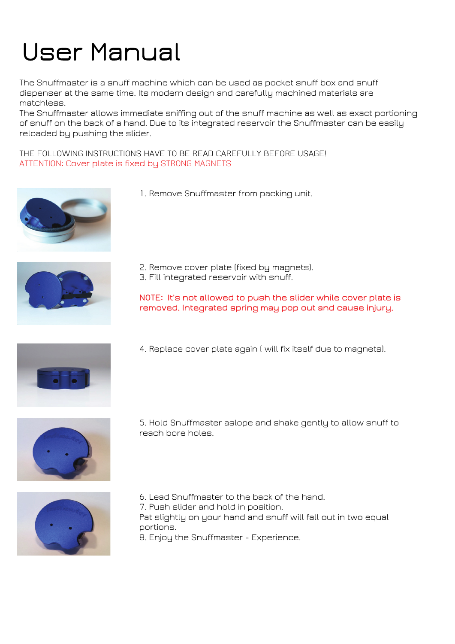## User Manual

The Snuffmaster is a snuff machine which can be used as pocket snuff box and snuff dispenser at the same time. Its modern design and carefully machined materials are matchless.

The Snuffmaster allows immediate sniffing out of the snuff machine as well as exact portioning of snuff on the back of a hand. Due to its integrated reservoir the Snuffmaster can be easily reloaded by pushing the slider.

THE FOLLOWING INSTRUCTIONS HAVE TO BE READ CAREFULLY BEFORE USAGE! ATTENTION: Cover plate is fixed by STRONG MAGNETS







- 2. Remove cover plate (fixed by magnets).
- 3. Fill integrated reservoir with snuff.

NOTE: It's not allowed to push the slider while cover plate is removed. Integrated spring may pop out and cause injury.



4. Replace cover plate again ( will fix itself due to magnets).



5. Hold Snuffmaster aslope and shake gently to allow snuff to reach bore holes.



6. Lead Snuffmaster to the back of the hand.

7. Push slider and hold in position.

Pat slightly on your hand and snuff will fall out in two equal portions.

8. Enjoy the Snuffmaster - Experience.